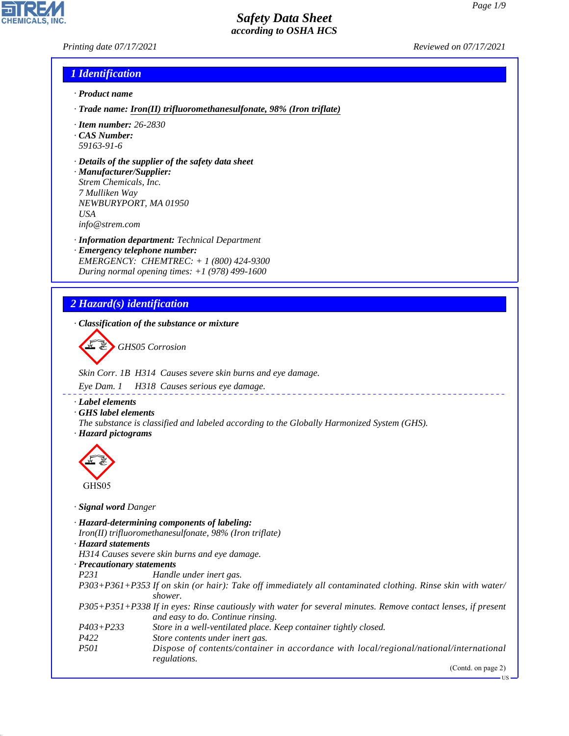*Printing date 07/17/2021 Reviewed on 07/17/2021*

### *1 Identification*

- *· Product name*
- *· Trade name: Iron(II) trifluoromethanesulfonate, 98% (Iron triflate)*
- *· Item number: 26-2830*
- *· CAS Number: 59163-91-6*
- *· Details of the supplier of the safety data sheet*

*· Manufacturer/Supplier: Strem Chemicals, Inc. 7 Mulliken Way NEWBURYPORT, MA 01950 USA info@strem.com*

*· Information department: Technical Department · Emergency telephone number: EMERGENCY: CHEMTREC: + 1 (800) 424-9300 During normal opening times: +1 (978) 499-1600*

# *2 Hazard(s) identification*

*· Classification of the substance or mixture*

d~*GHS05 Corrosion*

*Skin Corr. 1B H314 Causes severe skin burns and eye damage.*

*Eye Dam. 1 H318 Causes serious eye damage.*

#### *· Label elements*

- *· GHS label elements*
- *The substance is classified and labeled according to the Globally Harmonized System (GHS). · Hazard pictograms*



44.1.1

- *· Signal word Danger*
- *· Hazard-determining components of labeling:*
- *Iron(II) trifluoromethanesulfonate, 98% (Iron triflate)*
- *· Hazard statements*
- *H314 Causes severe skin burns and eye damage.*

*· Precautionary statements*

- *P231 Handle under inert gas.*
- *P303+P361+P353 If on skin (or hair): Take off immediately all contaminated clothing. Rinse skin with water/ shower.*
- *P305+P351+P338 If in eyes: Rinse cautiously with water for several minutes. Remove contact lenses, if present and easy to do. Continue rinsing.*
- *P403+P233 Store in a well-ventilated place. Keep container tightly closed.*
- *P422 Store contents under inert gas.*
- *P501 Dispose of contents/container in accordance with local/regional/national/international regulations.*

(Contd. on page 2)

US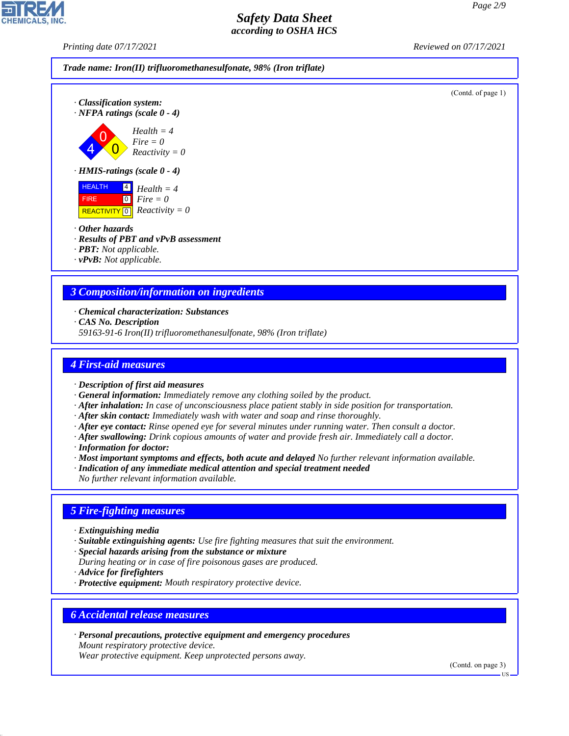(Contd. of page 1)

## *Safety Data Sheet according to OSHA HCS*

*Printing date 07/17/2021 Reviewed on 07/17/2021*



*· HMIS-ratings (scale 0 - 4)*

 $\overline{\mathbf{0}}$ 

 HEALTH FIRE REACTIVITY 4 0 0 *Health = 4 Fire = 0*

*· Other hazards*

4

*· Results of PBT and vPvB assessment*

*Fire = 0 Reactivity = 0*

*· PBT: Not applicable.*

*· vPvB: Not applicable.*

# *3 Composition/information on ingredients*

*Reactivity = 0*

*· Chemical characterization: Substances*

*· CAS No. Description*

*59163-91-6 Iron(II) trifluoromethanesulfonate, 98% (Iron triflate)*

## *4 First-aid measures*

- *· Description of first aid measures*
- *· General information: Immediately remove any clothing soiled by the product.*
- *· After inhalation: In case of unconsciousness place patient stably in side position for transportation.*
- *· After skin contact: Immediately wash with water and soap and rinse thoroughly.*
- *· After eye contact: Rinse opened eye for several minutes under running water. Then consult a doctor.*
- *· After swallowing: Drink copious amounts of water and provide fresh air. Immediately call a doctor.*
- *· Information for doctor:*
- *· Most important symptoms and effects, both acute and delayed No further relevant information available.*
- *· Indication of any immediate medical attention and special treatment needed*

*No further relevant information available.*

## *5 Fire-fighting measures*

- *· Extinguishing media*
- *· Suitable extinguishing agents: Use fire fighting measures that suit the environment.*
- *· Special hazards arising from the substance or mixture*
- *During heating or in case of fire poisonous gases are produced.*
- *· Advice for firefighters*

44.1.1

*· Protective equipment: Mouth respiratory protective device.*

## *6 Accidental release measures*

*· Personal precautions, protective equipment and emergency procedures Mount respiratory protective device.*

*Wear protective equipment. Keep unprotected persons away.*

(Contd. on page 3)

US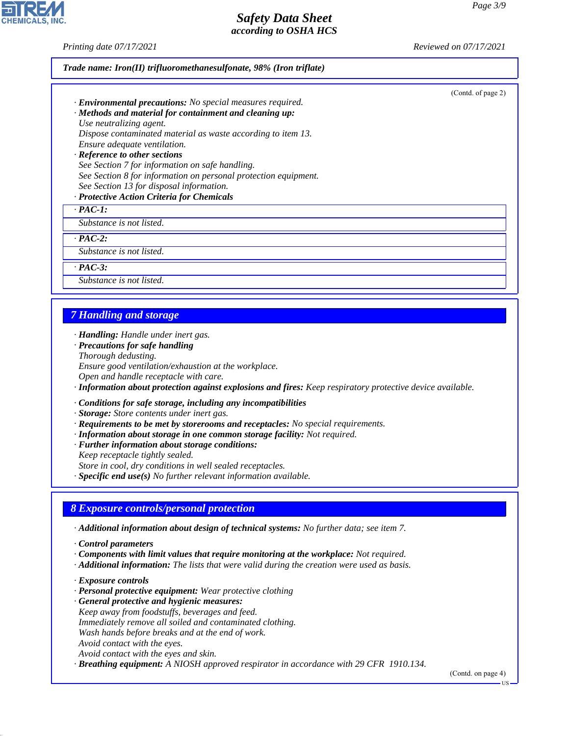*Printing date 07/17/2021 Reviewed on 07/17/2021*

| · <b>Environmental precautions:</b> No special measures required. | (Contd. of page 2) |
|-------------------------------------------------------------------|--------------------|
|                                                                   |                    |
| · Methods and material for containment and cleaning up:           |                    |
| Use neutralizing agent.                                           |                    |
| Dispose contaminated material as waste according to item 13.      |                    |
| Ensure adequate ventilation.                                      |                    |
| · Reference to other sections                                     |                    |
| See Section 7 for information on safe handling.                   |                    |
| See Section 8 for information on personal protection equipment.   |                    |
| See Section 13 for disposal information.                          |                    |
| · Protective Action Criteria for Chemicals                        |                    |
| $\cdot$ PAC-1:                                                    |                    |
| Substance is not listed.                                          |                    |
| $PAC-2$ :                                                         |                    |
| Substance is not listed.                                          |                    |
| $\cdot$ PAC-3:                                                    |                    |
| Substance is not listed.                                          |                    |
|                                                                   |                    |

*Open and handle receptacle with care.*

*· Information about protection against explosions and fires: Keep respiratory protective device available.*

*· Conditions for safe storage, including any incompatibilities*

*· Storage: Store contents under inert gas.*

- *· Requirements to be met by storerooms and receptacles: No special requirements.*
- *· Information about storage in one common storage facility: Not required.*
- *· Further information about storage conditions:*

*Keep receptacle tightly sealed.*

*Store in cool, dry conditions in well sealed receptacles.*

*· Specific end use(s) No further relevant information available.*

# *8 Exposure controls/personal protection*

*· Additional information about design of technical systems: No further data; see item 7.*

*· Control parameters*

- *· Components with limit values that require monitoring at the workplace: Not required.*
- *· Additional information: The lists that were valid during the creation were used as basis.*
- *· Exposure controls*

44.1.1

- *· Personal protective equipment: Wear protective clothing*
- *· General protective and hygienic measures: Keep away from foodstuffs, beverages and feed. Immediately remove all soiled and contaminated clothing. Wash hands before breaks and at the end of work. Avoid contact with the eyes. Avoid contact with the eyes and skin.*

*· Breathing equipment: A NIOSH approved respirator in accordance with 29 CFR 1910.134.*

(Contd. on page 4)



US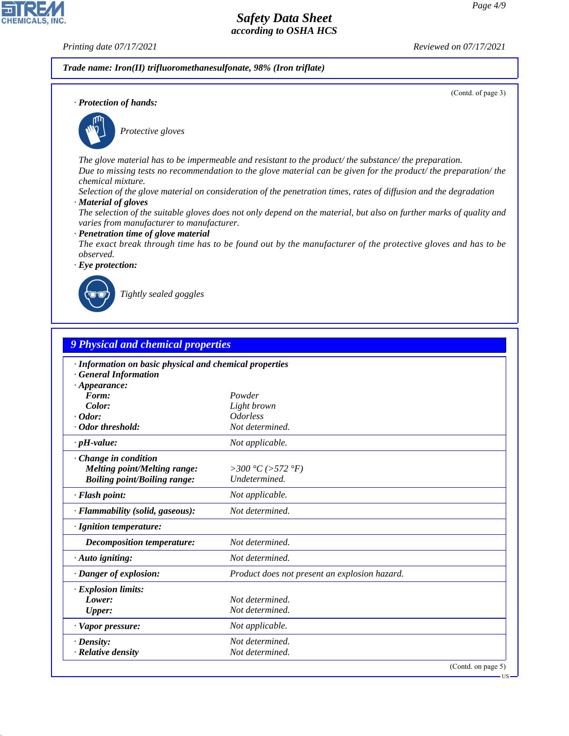**CHEMICALS, INC** 

*Printing date 07/17/2021 Reviewed on 07/17/2021*

(Contd. of page 3)

*Trade name: Iron(II) trifluoromethanesulfonate, 98% (Iron triflate)*

*· Protection of hands:*



\_S*Protective gloves*

*The glove material has to be impermeable and resistant to the product/ the substance/ the preparation. Due to missing tests no recommendation to the glove material can be given for the product/ the preparation/ the chemical mixture.*

*Selection of the glove material on consideration of the penetration times, rates of diffusion and the degradation*

*· Material of gloves*

*The selection of the suitable gloves does not only depend on the material, but also on further marks of quality and varies from manufacturer to manufacturer.*

*· Penetration time of glove material*

*The exact break through time has to be found out by the manufacturer of the protective gloves and has to be observed.*

*· Eye protection:*



44.1.1

\_R*Tightly sealed goggles*

| 9 Physical and chemical properties                                                                           |                                               |  |
|--------------------------------------------------------------------------------------------------------------|-----------------------------------------------|--|
| · Information on basic physical and chemical properties<br><b>General Information</b><br>$\cdot$ Appearance: |                                               |  |
| Form:                                                                                                        | Powder                                        |  |
| Color:                                                                                                       | Light brown                                   |  |
| $\cdot$ Odor:                                                                                                | <i><u><b>Odorless</b></u></i>                 |  |
| · Odor threshold:                                                                                            | Not determined.                               |  |
| $\cdot$ pH-value:                                                                                            | Not applicable.                               |  |
| Change in condition<br><b>Melting point/Melting range:</b><br><b>Boiling point/Boiling range:</b>            | >300 °C (>572 °F)<br>Undetermined.            |  |
| · Flash point:                                                                                               | Not applicable.                               |  |
| · Flammability (solid, gaseous):                                                                             | Not determined.                               |  |
| · Ignition temperature:                                                                                      |                                               |  |
| <b>Decomposition temperature:</b>                                                                            | Not determined.                               |  |
| $\cdot$ Auto igniting:                                                                                       | Not determined.                               |  |
| · Danger of explosion:                                                                                       | Product does not present an explosion hazard. |  |
| · Explosion limits:                                                                                          |                                               |  |
| Lower:                                                                                                       | Not determined.                               |  |
| <b>Upper:</b>                                                                                                | Not determined.                               |  |
| · Vapor pressure:                                                                                            | Not applicable.                               |  |
| $\cdot$ Density:                                                                                             | Not determined.                               |  |
| · Relative density                                                                                           | Not determined.                               |  |

**US**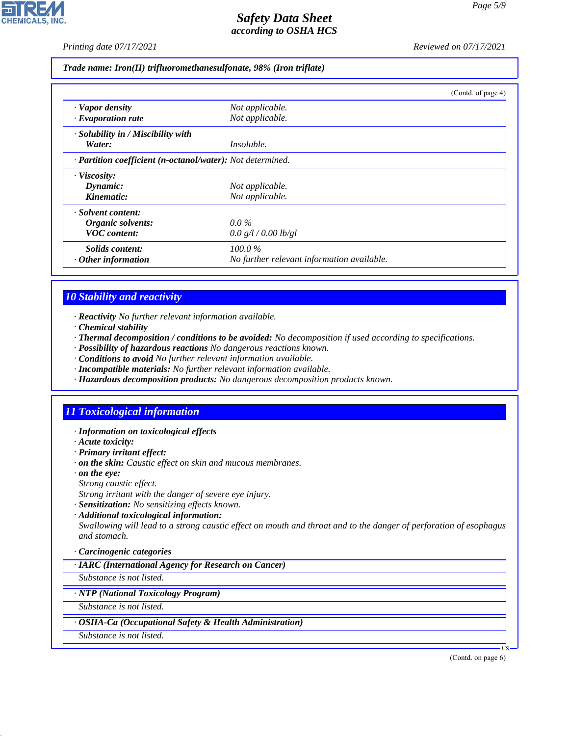*Printing date 07/17/2021 Reviewed on 07/17/2021*

*Trade name: Iron(II) trifluoromethanesulfonate, 98% (Iron triflate)*

|                                                            |                                            | (Contd. of page 4) |
|------------------------------------------------------------|--------------------------------------------|--------------------|
| · Vapor density                                            | Not applicable.                            |                    |
| $\cdot$ Evaporation rate                                   | Not applicable.                            |                    |
| $\cdot$ Solubility in / Miscibility with                   |                                            |                    |
| Water:                                                     | <i>Insoluble.</i>                          |                    |
| · Partition coefficient (n-octanol/water): Not determined. |                                            |                    |
| · Viscosity:                                               |                                            |                    |
| Dynamic:                                                   | Not applicable.                            |                    |
| Kinematic:                                                 | Not applicable.                            |                    |
| · Solvent content:                                         |                                            |                    |
| Organic solvents:                                          | $0.0\%$                                    |                    |
| <b>VOC</b> content:                                        | 0.0 g/l / 0.00 lb/gl                       |                    |
| Solids content:                                            | $100.0\%$                                  |                    |
| $\cdot$ Other information                                  | No further relevant information available. |                    |

# *10 Stability and reactivity*

- *· Reactivity No further relevant information available.*
- *· Chemical stability*
- *· Thermal decomposition / conditions to be avoided: No decomposition if used according to specifications.*
- *· Possibility of hazardous reactions No dangerous reactions known.*
- *· Conditions to avoid No further relevant information available.*
- *· Incompatible materials: No further relevant information available.*
- *· Hazardous decomposition products: No dangerous decomposition products known.*

# *11 Toxicological information*

- *· Information on toxicological effects*
- *· Acute toxicity:*
- *· Primary irritant effect:*
- *· on the skin: Caustic effect on skin and mucous membranes.*
- *· on the eye:*
- *Strong caustic effect.*
- *Strong irritant with the danger of severe eye injury.*
- *· Sensitization: No sensitizing effects known.*
- *· Additional toxicological information:*

*Swallowing will lead to a strong caustic effect on mouth and throat and to the danger of perforation of esophagus and stomach.*

#### *· Carcinogenic categories*

*· IARC (International Agency for Research on Cancer)*

*Substance is not listed.*

### *· NTP (National Toxicology Program)*

*Substance is not listed.*

### *· OSHA-Ca (Occupational Safety & Health Administration)*

*Substance is not listed.*

44.1.1

(Contd. on page 6)

US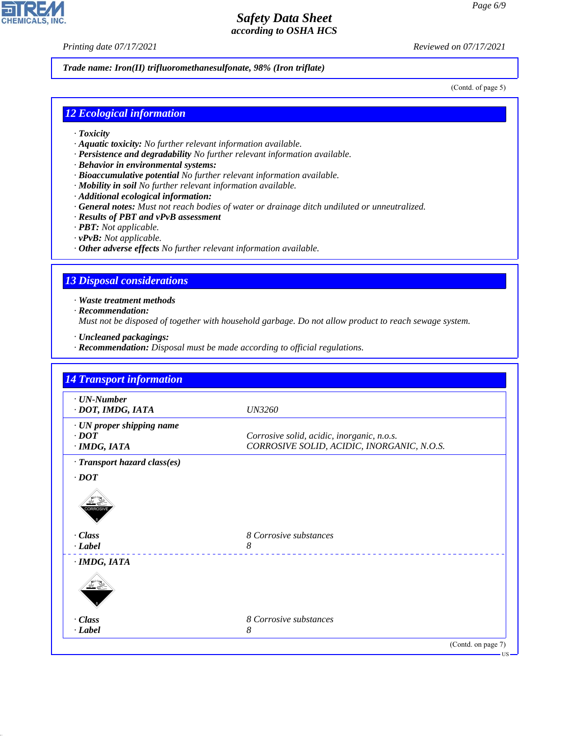*Printing date 07/17/2021 Reviewed on 07/17/2021*

*Trade name: Iron(II) trifluoromethanesulfonate, 98% (Iron triflate)*

(Contd. of page 5)

## *12 Ecological information*

- *· Toxicity*
- *· Aquatic toxicity: No further relevant information available.*
- *· Persistence and degradability No further relevant information available.*
- *· Behavior in environmental systems:*
- *· Bioaccumulative potential No further relevant information available.*
- *· Mobility in soil No further relevant information available.*
- *· Additional ecological information:*
- *· General notes: Must not reach bodies of water or drainage ditch undiluted or unneutralized.*
- *· Results of PBT and vPvB assessment*
- *· PBT: Not applicable.*
- *· vPvB: Not applicable.*
- *· Other adverse effects No further relevant information available.*

## *13 Disposal considerations*

*· Waste treatment methods*

*· Recommendation:*

*Must not be disposed of together with household garbage. Do not allow product to reach sewage system.*

- *· Uncleaned packagings:*
- *· Recommendation: Disposal must be made according to official regulations.*

| $\cdot$ UN-Number            |                                            |
|------------------------------|--------------------------------------------|
| · DOT, IMDG, IATA            | <b>UN3260</b>                              |
| · UN proper shipping name    |                                            |
| $\cdot$ DOT                  | Corrosive solid, acidic, inorganic, n.o.s. |
| · IMDG, IATA                 | CORROSIVE SOLID, ACIDIC, INORGANIC, N.O.S. |
| · Transport hazard class(es) |                                            |
| $\cdot$ DOT                  |                                            |
| <b>CORROSIV</b>              |                                            |
| $\cdot$ Class                | 8 Corrosive substances                     |
| $\cdot$ <i>Label</i>         | 8                                          |
| $·$ <i>IMDG, IATA</i>        |                                            |
|                              |                                            |
| $\cdot$ Class                | 8 Corrosive substances                     |
| · Label                      | 8                                          |



44.1.1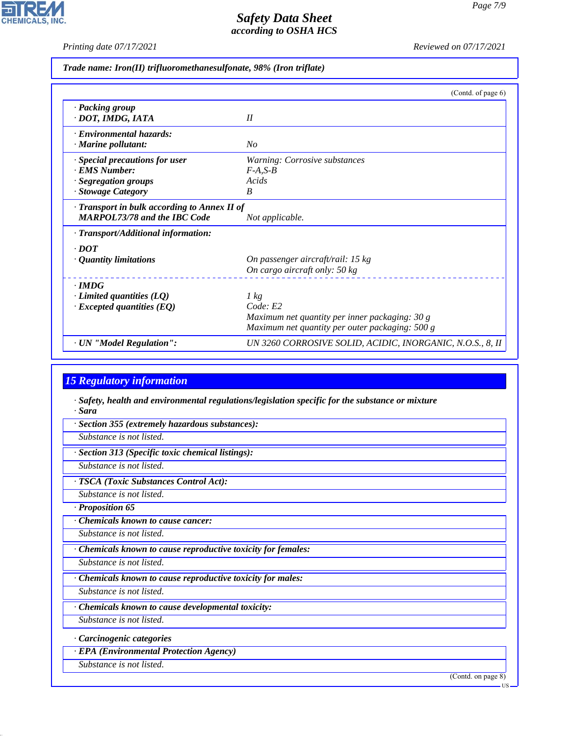피

**CHEMICALS, INC.** 

*Printing date 07/17/2021 Reviewed on 07/17/2021*

|  |  |  | Trade name: Iron(II) trifluoromethanesulfonate, 98% (Iron triflate) |  |  |
|--|--|--|---------------------------------------------------------------------|--|--|
|--|--|--|---------------------------------------------------------------------|--|--|

|                                                                                                    | (Contd. of page 6)                                                                                                    |
|----------------------------------------------------------------------------------------------------|-----------------------------------------------------------------------------------------------------------------------|
| · Packing group<br>· DOT, IMDG, IATA                                                               | II                                                                                                                    |
| · Environmental hazards:<br>$\cdot$ Marine pollutant:                                              | No                                                                                                                    |
| · Special precautions for user<br><b>EMS Number:</b><br>· Segregation groups<br>· Stowage Category | Warning: Corrosive substances<br>$F-A, S-B$<br>Acids<br>B                                                             |
| · Transport in bulk according to Annex II of<br><b>MARPOL73/78 and the IBC Code</b>                | Not applicable.                                                                                                       |
| $\cdot$ Transport/Additional information:                                                          |                                                                                                                       |
| $\cdot$ DOT<br>$\cdot$ Quantity limitations                                                        | On passenger aircraft/rail: 15 kg<br>On cargo aircraft only: $50 \text{ kg}$                                          |
| $\cdot$ IMDG<br>$\cdot$ Limited quantities (LQ)<br>$\cdot$ Excepted quantities (EQ)                | 1 kg<br>Code: E2<br>Maximum net quantity per inner packaging: 30 g<br>Maximum net quantity per outer packaging: 500 g |
| · UN "Model Regulation":                                                                           | UN 3260 CORROSIVE SOLID, ACIDIC, INORGANIC, N.O.S., 8, II                                                             |

# *15 Regulatory information*

*· Safety, health and environmental regulations/legislation specific for the substance or mixture · Sara*

*· Section 355 (extremely hazardous substances):*

*Substance is not listed.*

*· Section 313 (Specific toxic chemical listings):*

*Substance is not listed.*

*· TSCA (Toxic Substances Control Act):*

*Substance is not listed.*

*· Proposition 65*

*· Chemicals known to cause cancer:*

*Substance is not listed.*

*· Chemicals known to cause reproductive toxicity for females:*

*Substance is not listed.*

*· Chemicals known to cause reproductive toxicity for males:*

*Substance is not listed.*

*· Chemicals known to cause developmental toxicity:*

*Substance is not listed.*

*· Carcinogenic categories*

*· EPA (Environmental Protection Agency)*

*Substance is not listed.*

44.1.1

(Contd. on page 8)

US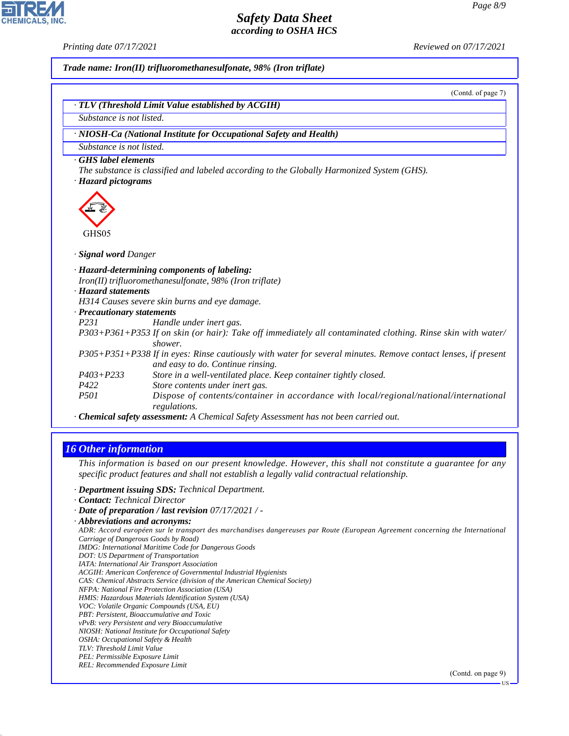**CHEMICALS.** 

*Printing date 07/17/2021 Reviewed on 07/17/2021*

*Trade name: Iron(II) trifluoromethanesulfonate, 98% (Iron triflate)*

(Contd. of page 7)

|                            | · NIOSH-Ca (National Institute for Occupational Safety and Health)                                                                                 |
|----------------------------|----------------------------------------------------------------------------------------------------------------------------------------------------|
| Substance is not listed.   |                                                                                                                                                    |
| GHS label elements         |                                                                                                                                                    |
|                            | The substance is classified and labeled according to the Globally Harmonized System (GHS).                                                         |
| · Hazard pictograms        |                                                                                                                                                    |
| GHS05                      |                                                                                                                                                    |
| · Signal word Danger       |                                                                                                                                                    |
|                            | · Hazard-determining components of labeling:                                                                                                       |
|                            | $Iron(II)$ trifluoromethanesulfonate, 98% (Iron triflate)                                                                                          |
| · Hazard statements        |                                                                                                                                                    |
|                            | H314 Causes severe skin burns and eye damage.                                                                                                      |
| · Precautionary statements |                                                                                                                                                    |
| P <sub>231</sub>           | Handle under inert gas.                                                                                                                            |
|                            | P303+P361+P353 If on skin (or hair): Take off immediately all contaminated clothing. Rinse skin with water/<br>shower.                             |
|                            | P305+P351+P338 If in eyes: Rinse cautiously with water for several minutes. Remove contact lenses, if present<br>and easy to do. Continue rinsing. |
| $P403 + P233$              | Store in a well-ventilated place. Keep container tightly closed.                                                                                   |
| P422                       | Store contents under inert gas.                                                                                                                    |
|                            | Dispose of contents/container in accordance with local/regional/national/international                                                             |
| P <sub>501</sub>           | regulations.                                                                                                                                       |

## *16 Other information*

*This information is based on our present knowledge. However, this shall not constitute a guarantee for any specific product features and shall not establish a legally valid contractual relationship.*

- *· Department issuing SDS: Technical Department.*
- *· Contact: Technical Director*
- *· Date of preparation / last revision 07/17/2021 / -*
- *· Abbreviations and acronyms:*

*ADR: Accord européen sur le transport des marchandises dangereuses par Route (European Agreement concerning the International Carriage of Dangerous Goods by Road)*

- *IMDG: International Maritime Code for Dangerous Goods*
- *DOT: US Department of Transportation*
- *IATA: International Air Transport Association*
- *ACGIH: American Conference of Governmental Industrial Hygienists*
- *CAS: Chemical Abstracts Service (division of the American Chemical Society)*
- *NFPA: National Fire Protection Association (USA)*
- *HMIS: Hazardous Materials Identification System (USA)*
- *VOC: Volatile Organic Compounds (USA, EU)*
- *PBT: Persistent, Bioaccumulative and Toxic vPvB: very Persistent and very Bioaccumulative*
- *NIOSH: National Institute for Occupational Safety*
- *OSHA: Occupational Safety & Health*
- *TLV: Threshold Limit Value*
- *PEL: Permissible Exposure Limit*

44.1.1

*REL: Recommended Exposure Limit*

(Contd. on page 9)

US